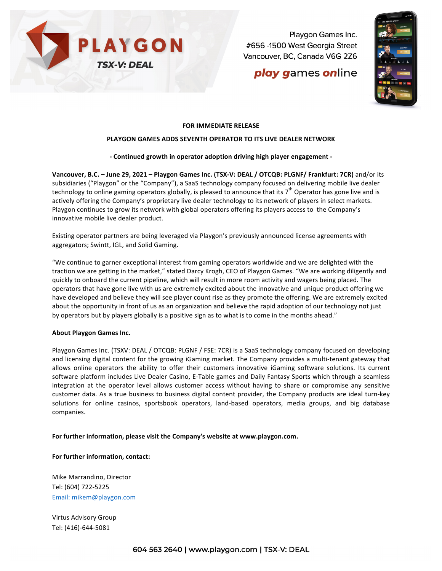

Playgon Games Inc. #656 -1500 West Georgia Street Vancouver, BC, Canada V6G 2Z6

# **play games online**



### **FOR IMMEDIATE RELEASE**

#### **PLAYGON GAMES ADDS SEVENTH OPERATOR TO ITS LIVE DEALER NETWORK**

#### **- Continued growth in operator adoption driving high player engagement -**

**Vancouver, B.C. - June 29, 2021 - Playgon Games Inc. (TSX-V: DEAL / OTCQB: PLGNF/ Frankfurt: 7CR) and/or its** subsidiaries ("Playgon" or the "Company"), a SaaS technology company focused on delivering mobile live dealer technology to online gaming operators globally, is pleased to announce that its  $7^{th}$  Operator has gone live and is actively offering the Company's proprietary live dealer technology to its network of players in select markets. Playgon continues to grow its network with global operators offering its players access to the Company's innovative mobile live dealer product.

Existing operator partners are being leveraged via Playgon's previously announced license agreements with aggregators; Swintt, IGL, and Solid Gaming.

"We continue to garner exceptional interest from gaming operators worldwide and we are delighted with the traction we are getting in the market," stated Darcy Krogh, CEO of Playgon Games. "We are working diligently and quickly to onboard the current pipeline, which will result in more room activity and wagers being placed. The operators that have gone live with us are extremely excited about the innovative and unique product offering we have developed and believe they will see player count rise as they promote the offering. We are extremely excited about the opportunity in front of us as an organization and believe the rapid adoption of our technology not just by operators but by players globally is a positive sign as to what is to come in the months ahead."

#### **About Playgon Games Inc.**

Playgon Games Inc. (TSXV: DEAL / OTCQB: PLGNF / FSE: 7CR) is a SaaS technology company focused on developing and licensing digital content for the growing iGaming market. The Company provides a multi-tenant gateway that allows online operators the ability to offer their customers innovative iGaming software solutions. Its current software platform includes Live Dealer Casino, E-Table games and Daily Fantasy Sports which through a seamless integration at the operator level allows customer access without having to share or compromise any sensitive customer data. As a true business to business digital content provider, the Company products are ideal turn-key solutions for online casinos, sportsbook operators, land-based operators, media groups, and big database companies.

#### For further information, please visit the Company's website at www.playgon.com.

#### For further information, contact:

Mike Marrandino, Director Tel: (604) 722-5225 Email: mikem@playgon.com

Virtus Advisory Group Tel: (416)-644-5081